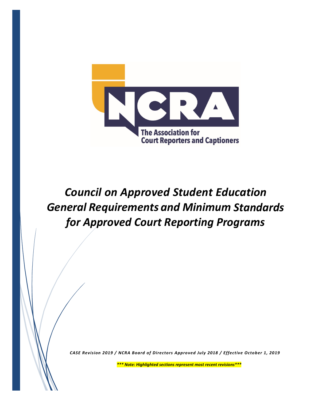

*Council on Approved Student Education General Requirements and Minimum Standards for Approved Court Reporting Programs*

*CASE Revision 2019 / NCRA Board of Directors Approved July 2018 / Effective October 1, 2019*

*\*\*\* Note: Highlighted sections represent most recent revisions\*\*\**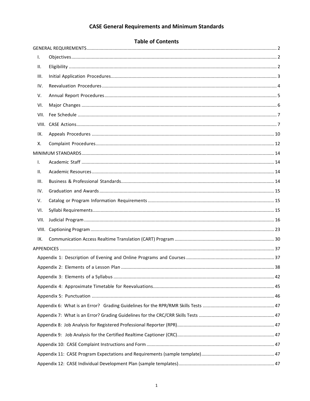# **CASE General Requirements and Minimum Standards**

|       | <b>Table of Contents</b> |  |
|-------|--------------------------|--|
|       |                          |  |
| I.    |                          |  |
| н.    |                          |  |
| III.  |                          |  |
| IV.   |                          |  |
| V.    |                          |  |
| VI.   |                          |  |
| VII.  |                          |  |
| VIII. |                          |  |
| IX.   |                          |  |
| х.    |                          |  |
|       |                          |  |
| Ι.    |                          |  |
| Ш.    |                          |  |
| Ш.    |                          |  |
| IV.   |                          |  |
| V.    |                          |  |
| VI.   |                          |  |
| VII.  |                          |  |
| VIII. |                          |  |
| IX.   |                          |  |
|       |                          |  |
|       |                          |  |
|       |                          |  |
|       |                          |  |
|       |                          |  |
|       |                          |  |
|       |                          |  |
|       |                          |  |
|       |                          |  |
|       |                          |  |
|       |                          |  |
|       |                          |  |
|       |                          |  |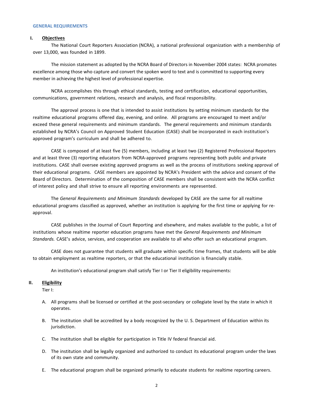#### <span id="page-2-1"></span><span id="page-2-0"></span>**GENERAL REQUIREMENTS**

#### **I. Objectives**

The National Court Reporters Association (NCRA), a national professional organization with a membership of over 13,000, was founded in 1899.

The mission statement as adopted by the NCRA Board of Directors in November 2004 states: NCRA promotes excellence among those who capture and convert the spoken word to text and is committed to supporting every member in achieving the highest level of professional expertise.

NCRA accomplishes this through ethical standards, testing and certification, educational opportunities, communications, government relations, research and analysis, and fiscal responsibility.

The approval process is one that is intended to assist institutions by setting minimum standards for the realtime educational programs offered day, evening, and online. All programs are encouraged to meet and/or exceed these general requirements and minimum standards. The general requirements and minimum standards established by NCRA's Council on Approved Student Education (CASE) shall be incorporated in each institution's approved program's curriculum and shall be adhered to.

CASE is composed of at least five (5) members, including at least two (2) Registered Professional Reporters and at least three (3) reporting educators from NCRA-approved programs representing both public and private institutions. CASE shall oversee existing approved programs as well as the process of institutions seeking approval of their educational programs. CASE members are appointed by NCRA's President with the advice and consent of the Board of Directors. Determination of the composition of CASE members shall be consistent with the NCRA conflict of interest policy and shall strive to ensure all reporting environments are represented.

The *General Requirements and Minimum Standards* developed by CASE are the same for all realtime educational programs classified as approved, whether an institution is applying for the first time or applying for reapproval.

CASE publishes in the Journal of Court Reporting and elsewhere, and makes available to the public, a list of institutions whose realtime reporter education programs have met the *General Requirements and Minimum Standards.* CASE's advice, services, and cooperation are available to all who offer such an educational program.

CASE does not guarantee that students will graduate within specific time frames, that students will be able to obtain employment as realtime reporters, or that the educational institution is financially stable.

An institution's educational program shall satisfy Tier I or Tier II eligibility requirements:

#### <span id="page-2-2"></span>**II. Eligibility**

Tier I:

- A. All programs shall be licensed or certified at the post-secondary or collegiate level by the state in which it operates.
- B. The institution shall be accredited by a body recognized by the U. S. Department of Education within its jurisdiction.
- C. The institution shall be eligible for participation in Title IV federal financial aid.
- D. The institution shall be legally organized and authorized to conduct its educational program under the laws of its own state and community.
- E. The educational program shall be organized primarily to educate students for realtime reporting careers.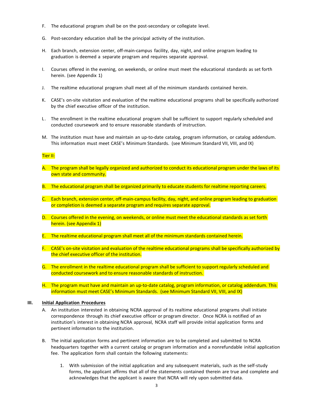- F. The educational program shall be on the post-secondary or collegiate level.
- G. Post-secondary education shall be the principal activity of the institution.
- H. Each branch, extension center, off-main-campus facility, day, night, and online program leading to graduation is deemed a separate program and requires separate approval.
- I. Courses offered in the evening, on weekends, or online must meet the educational standards as set forth herein. (see Appendix 1)
- J. The realtime educational program shall meet all of the minimum standards contained herein.
- K. CASE's on-site visitation and evaluation of the realtime educational programs shall be specifically authorized by the chief executive officer of the institution.
- L. The enrollment in the realtime educational program shall be sufficient to support regularly scheduled and conducted coursework and to ensure reasonable standards of instruction.
- M. The institution must have and maintain an up-to-date catalog, program information, or catalog addendum. This information must meet CASE's Minimum Standards. (see Minimum Standard VII, VIII, and IX)

#### Tier II:

- A. The program shall be legally organized and authorized to conduct its educational program under the laws of its own state and community.
- B. The educational program shall be organized primarily to educate students for realtime reporting careers.
- C. Each branch, extension center, off-main-campus facility, day, night, and online program leading to graduation or completion is deemed a separate program and requires separate approval.
- D. Courses offered in the evening, on weekends, or online must meet the educational standards as set forth herein. (see Appendix 1)
- E. The realtime educational program shall meet all of the minimum standards contained herein.
- F. CASE's on-site visitation and evaluation of the realtime educational programs shall be specifically authorized by the chief executive officer of the institution.
- G. The enrollment in the realtime educational program shall be sufficient to support regularly scheduled and conducted coursework and to ensure reasonable standards of instruction.
- H. The program must have and maintain an up-to-date catalog, program information, or catalog addendum. This information must meet CASE's Minimum Standards. (see Minimum Standard VII, VIII, and IX)

## <span id="page-3-0"></span>**III. Initial Application Procedures**

- A. An institution interested in obtaining NCRA approval of its realtime educational programs shall initiate correspondence through its chief executive officer or program director. Once NCRA is notified of an institution's interest in obtaining NCRA approval, NCRA staff will provide initial application forms and pertinent information to the institution.
- B. The initial application forms and pertinent information are to be completed and submitted to NCRA headquarters together with a current catalog or program information and a nonrefundable initial application fee. The application form shall contain the following statements:
	- 1. With submission of the initial application and any subsequent materials, such as the self-study forms, the applicant affirms that all of the statements contained therein are true and complete and acknowledges that the applicant is aware that NCRA will rely upon submitted data.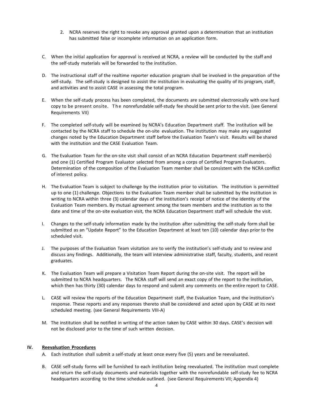- 2. NCRA reserves the right to revoke any approval granted upon a determination that an institution has submitted false or incomplete information on an application form.
- C. When the initial application for approval is received at NCRA, a review will be conducted by the staff and the self-study materials will be forwarded to the institution.
- D. The instructional staff of the realtime reporter education program shall be involved in the preparation of the self-study. The self-study is designed to assist the institution in evaluating the quality of its program, staff, and activities and to assist CASE in assessing the total program.
- E. When the self-study process has been completed, the documents are submitted electronically with one hard copy to be present onsite. The nonrefundable self-study fee should be sent prior to the visit. (see General Requirements VII)
- F. The completed self-study will be examined by NCRA's Education Department staff. The institution will be contacted by the NCRA staff to schedule the on-site evaluation. The institution may make any suggested changes noted by the Education Department staff before the Evaluation Team's visit. Results will be shared with the institution and the CASE Evaluation Team.
- G. The Evaluation Team for the on-site visit shall consist of an NCRA Education Department staff member(s) and one (1) Certified Program Evaluator selected from among a corps of Certified Program Evaluators. Determination of the composition of the Evaluation Team member shall be consistent with the NCRA conflict of interest policy.
- H. The Evaluation Team is subject to challenge by the institution prior to visitation. The institution is permitted up to one (1) challenge. Objections to the Evaluation Team member shall be submitted by the institution in writing to NCRA within three (3) calendar days of the institution's receipt of notice of the identity of the Evaluation Team members. By mutual agreement among the team members and the institution as to the date and time of the on-site evaluation visit, the NCRA Education Department staff will schedule the visit.
- I. Changes to the self-study information made by the institution after submitting the self-study form shall be submitted as an "Update Report" to the Education Department at least ten (10) calendar days prior to the scheduled visit.
- J. The purposes of the Evaluation Team visitation are to verify the institution's self-study and to review and discuss any findings. Additionally, the team will interview administrative staff, faculty, students, and recent graduates.
- K. The Evaluation Team will prepare a Visitation Team Report during the on-site visit. The report will be submitted to NCRA headquarters. The NCRA staff will send an exact copy of the report to the institution, which then has thirty (30) calendar days to respond and submit any comments on the entire report to CASE.
- L. CASE will review the reports of the Education Department staff, the Evaluation Team, and the institution's response. These reports and any responses thereto shall be considered and acted upon by CASE at its next scheduled meeting. (see General Requirements VIII-A)
- M. The institution shall be notified in writing of the action taken by CASE within 30 days. CASE's decision will not be disclosed prior to the time of such written decision.

## <span id="page-4-0"></span>**IV. Reevaluation Procedures**

- A. Each institution shall submit a self-study at least once every five (5) years and be reevaluated.
- B. CASE self-study forms will be furnished to each institution being reevaluated. The institution must complete and return the self-study documents and materials together with the nonrefundable self-study fee to NCRA headquarters according to the time schedule outlined. (see General Requirements VII; Appendix 4)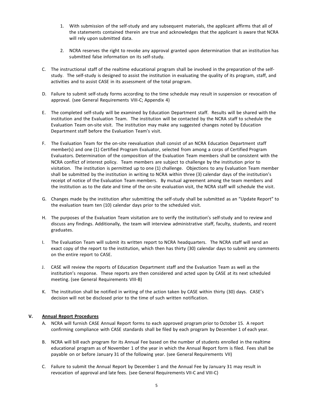- 1. With submission of the self-study and any subsequent materials, the applicant affirms that all of the statements contained therein are true and acknowledges that the applicant is aware that NCRA will rely upon submitted data.
- 2. NCRA reserves the right to revoke any approval granted upon determination that an institution has submitted false information on its self-study.
- C. The instructional staff of the realtime educational program shall be involved in the preparation of the selfstudy. The self-study is designed to assist the institution in evaluating the quality of its program, staff, and activities and to assist CASE in its assessment of the total program.
- D. Failure to submit self-study forms according to the time schedule may result in suspension or revocation of approval. (see General Requirements VIII-C; Appendix 4)
- E. The completed self-study will be examined by Education Department staff. Results will be shared with the institution and the Evaluation Team. The institution will be contacted by the NCRA staff to schedule the Evaluation Team on-site visit. The institution may make any suggested changes noted by Education Department staff before the Evaluation Team's visit.
- F. The Evaluation Team for the on-site reevaluation shall consist of an NCRA Education Department staff member(s) and one (1) Certified Program Evaluator, selected from among a corps of Certified Program Evaluators. Determination of the composition of the Evaluation Team members shall be consistent with the NCRA conflict of interest policy. Team members are subject to challenge by the institution prior to visitation. The institution is permitted up to one (1) challenge. Objections to any Evaluation Team member shall be submitted by the institution in writing to NCRA within three (3) calendar days of the institution's receipt of notice of the Evaluation Team members. By mutual agreement among the team members and the institution as to the date and time of the on-site evaluation visit, the NCRA staff will schedule the visit.
- G. Changes made by the institution after submitting the self-study shall be submitted as an "Update Report" to the evaluation team ten (10) calendar days prior to the scheduled visit.
- H. The purposes of the Evaluation Team visitation are to verify the institution's self-study and to review and discuss any findings. Additionally, the team will interview administrative staff, faculty, students, and recent graduates.
- I. The Evaluation Team will submit its written report to NCRA headquarters. The NCRA staff will send an exact copy of the report to the institution, which then has thirty (30) calendar days to submit any comments on the entire report to CASE.
- J. CASE will review the reports of Education Department staff and the Evaluation Team as well as the institution's response. These reports are then considered and acted upon by CASE at its next scheduled meeting. (see General Requirements VIII-B)
- K. The institution shall be notified in writing of the action taken by CASE within thirty (30) days. CASE's decision will not be disclosed prior to the time of such written notification.

## <span id="page-5-0"></span>**V. Annual Report Procedures**

- A. NCRA will furnish CASE Annual Report forms to each approved program prior to October 15. A report confirming compliance with CASE standards shall be filed by each program by December 1 of each year.
- B. NCRA will bill each program for its Annual Fee based on the number of students enrolled in the realtime educational program as of November 1 of the year in which the Annual Report form is filed. Fees shall be payable on or before January 31 of the following year. (see General Requirements VII)
- C. Failure to submit the Annual Report by December 1 and the Annual Fee by January 31 may result in revocation of approval and late fees. (see General Requirements VII-C and VIII-C)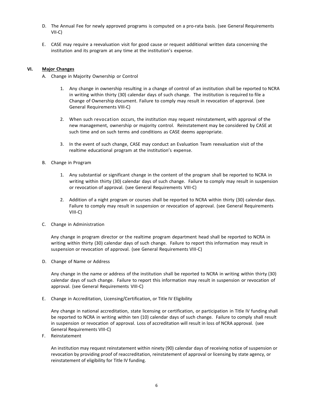- D. The Annual Fee for newly approved programs is computed on a pro-rata basis. (see General Requirements VII-C)
- E. CASE may require a reevaluation visit for good cause or request additional written data concerning the institution and its program at any time at the institution's expense.

## <span id="page-6-0"></span>**VI. Major Changes**

- A. Change in Majority Ownership or Control
	- 1. Any change in ownership resulting in a change of control of an institution shall be reported to NCRA in writing within thirty (30) calendar days of such change. The institution is required to file a Change of Ownership document. Failure to comply may result in revocation of approval. (see General Requirements VIII-C)
	- 2. When such revocation occurs, the institution may request reinstatement, with approval of the new management, ownership or majority control. Reinstatement may be considered by CASE at such time and on such terms and conditions as CASE deems appropriate.
	- 3. In the event of such change, CASE may conduct an Evaluation Team reevaluation visit of the realtime educational program at the institution's expense.
- B. Change in Program
	- 1. Any substantial or significant change in the content of the program shall be reported to NCRA in writing within thirty (30) calendar days of such change. Failure to comply may result in suspension or revocation of approval. (see General Requirements VIII-C)
	- 2. Addition of a night program or courses shall be reported to NCRA within thirty (30) calendar days. Failure to comply may result in suspension or revocation of approval. (see General Requirements VIII-C)
- C. Change in Administration

Any change in program director or the realtime program department head shall be reported to NCRA in writing within thirty (30) calendar days of such change. Failure to report this information may result in suspension or revocation of approval. (see General Requirements VIII-C)

D. Change of Name or Address

Any change in the name or address of the institution shall be reported to NCRA in writing within thirty (30) calendar days of such change. Failure to report this information may result in suspension or revocation of approval. (see General Requirements VIII-C)

E. Change in Accreditation, Licensing/Certification, or Title IV Eligibility

Any change in national accreditation, state licensing or certification, or participation in Title IV funding shall be reported to NCRA in writing within ten (10) calendar days of such change. Failure to comply shall result in suspension or revocation of approval. Loss of accreditation will result in loss of NCRA approval. (see General Requirements VIII-C)

F. Reinstatement

An institution may request reinstatement within ninety (90) calendar days of receiving notice of suspension or revocation by providing proof of reaccreditation, reinstatement of approval or licensing by state agency, or reinstatement of eligibility for Title IV funding.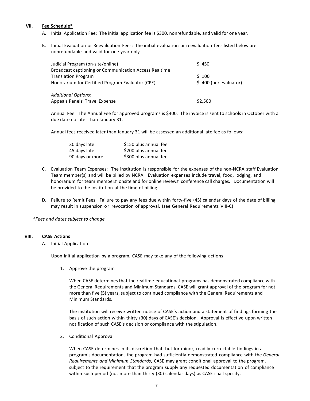## <span id="page-7-0"></span>**VII. Fee Schedule\***

- A. Initial Application Fee: The initial application fee is \$300, nonrefundable, and valid for one year.
- B. Initial Evaluation or Reevaluation Fees: The initial evaluation or reevaluation fees listed below are nonrefundable and valid for one year only.

| Judicial Program (on-site/online)<br>Broadcast captioning or Communication Access Realtime | \$450                 |
|--------------------------------------------------------------------------------------------|-----------------------|
| <b>Translation Program</b>                                                                 | S 100                 |
| Honorarium for Certified Program Evaluator (CPE)                                           | \$400 (per evaluator) |
|                                                                                            |                       |
| <b>Additional Options:</b>                                                                 |                       |
| Appeals Panels' Travel Expense                                                             | \$2,500               |

Annual Fee: The Annual Fee for approved programs is \$400. The invoice is sent to schools in October with a due date no later than January 31.

Annual fees received later than January 31 will be assessed an additional late fee as follows:

| 30 days late    | \$150 plus annual fee |
|-----------------|-----------------------|
| 45 days late    | \$200 plus annual fee |
| 90 days or more | \$300 plus annual fee |

- C. Evaluation Team Expenses: The institution is responsible for the expenses of the non-NCRA staff Evaluation Team member(s) and will be billed by NCRA. Evaluation expenses include travel, food, lodging, and honorarium for team members' onsite and for online reviews' conference call charges. Documentation will be provided to the institution at the time of billing.
- D. Failure to Remit Fees: Failure to pay any fees due within forty-five (45) calendar days of the date of billing may result in suspension or revocation of approval. (see General Requirements VIII-C)

*\*Fees and dates subject to change.*

#### <span id="page-7-1"></span>**VIII. CASE Actions**

## A. Initial Application

Upon initial application by a program, CASE may take any of the following actions:

1. Approve the program

When CASE determines that the realtime educational programs has demonstrated compliance with the General Requirements and Minimum Standards, CASE will grant approval of the program for not more than five (5) years, subject to continued compliance with the General Requirements and Minimum Standards.

The institution will receive written notice of CASE's action and a statement of findings forming the basis of such action within thirty (30) days of CASE's decision. Approval is effective upon written notification of such CASE's decision or compliance with the stipulation.

2. Conditional Approval

When CASE determines in its discretion that, but for minor, readily correctable findings in a program's documentation, the program had sufficiently demonstrated compliance with the *General Requirements and Minimum Standards*, CASE may grant conditional approval to the program, subject to the requirement that the program supply any requested documentation of compliance within such period (not more than thirty (30) calendar days) as CASE shall specify.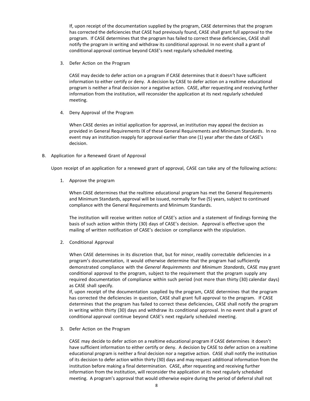If, upon receipt of the documentation supplied by the program, CASE determines that the program has corrected the deficiencies that CASE had previously found, CASE shall grant full approval to the program. If CASE determines that the program has failed to correct these deficiencies, CASE shall notify the program in writing and withdraw its conditional approval. In no event shall a grant of conditional approval continue beyond CASE's next regularly scheduled meeting.

3. Defer Action on the Program

CASE may decide to defer action on a program if CASE determines that it doesn't have sufficient information to either certify or deny. A decision by CASE to defer action on a realtime educational program is neither a final decision nor a negative action. CASE, after requesting and receiving further information from the institution, will reconsider the application at its next regularly scheduled meeting.

4. Deny Approval of the Program

When CASE denies an initial application for approval, an institution may appeal the decision as provided in General Requirements IX of these General Requirements and Minimum Standards. In no event may an institution reapply for approval earlier than one (1) year after the date of CASE's decision.

B. Application for a Renewed Grant of Approval

Upon receipt of an application for a renewed grant of approval, CASE can take any of the following actions:

1. Approve the program

When CASE determines that the realtime educational program has met the General Requirements and Minimum Standards, approval will be issued, normally for five (5) years, subject to continued compliance with the General Requirements and Minimum Standards.

The institution will receive written notice of CASE's action and a statement of findings forming the basis of such action within thirty (30) days of CASE's decision. Approval is effective upon the mailing of written notification of CASE's decision or compliance with the stipulation.

2. Conditional Approval

When CASE determines in its discretion that, but for minor, readily correctable deficiencies in a program's documentation, it would otherwise determine that the program had sufficiently demonstrated compliance with the *General Requirements and Minimum Standards*, CASE may grant conditional approval to the program, subject to the requirement that the program supply any required documentation of compliance within such period (not more than thirty (30) calendar days) as CASE shall specify.

If, upon receipt of the documentation supplied by the program, CASE determines that the program has corrected the deficiencies in question, CASE shall grant full approval to the program. If CASE determines that the program has failed to correct these deficiencies, CASE shall notify the program in writing within thirty (30) days and withdraw its conditional approval. In no event shall a grant of conditional approval continue beyond CASE's next regularly scheduled meeting.

3. Defer Action on the Program

CASE may decide to defer action on a realtime educational program if CASE determines it doesn't have sufficient information to either certify or deny. A decision by CASE to defer action on a realtime educational program is neither a final decision nor a negative action. CASE shall notify the institution of its decision to defer action within thirty (30) days and may request additional information from the institution before making a final determination. CASE, after requesting and receiving further information from the institution, will reconsider the application at its next regularly scheduled meeting. A program's approval that would otherwise expire during the period of deferral shall not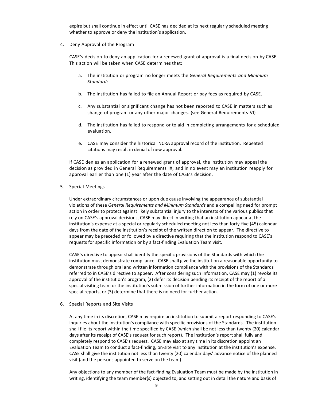expire but shall continue in effect until CASE has decided at its next regularly scheduled meeting whether to approve or deny the institution's application.

4. Deny Approval of the Program

CASE's decision to deny an application for a renewed grant of approval is a final decision by CASE. This action will be taken when CASE determines that:

- a. The institution or program no longer meets the *General Requirements and Minimum Standards.*
- b. The institution has failed to file an Annual Report or pay fees as required by CASE.
- c. Any substantial or significant change has not been reported to CASE in matters such as change of program or any other major changes. (see General Requirements VI)
- d. The institution has failed to respond or to aid in completing arrangements for a scheduled evaluation.
- e. CASE may consider the historical NCRA approval record of the institution. Repeated citations may result in denial of new approval.

If CASE denies an application for a renewed grant of approval, the institution may appeal the decision as provided in General Requirements IX; and in no event may an institution reapply for approval earlier than one (1) year after the date of CASE's decision.

5. Special Meetings

Under extraordinary circumstances or upon due cause involving the appearance of substantial violations of these *General Requirements and Minimum Standards* and a compelling need for prompt action in order to protect against likely substantial injury to the interests of the various publics that rely on CASE's approval decisions, CASE may direct in writing that an institution appear at the institution's expense at a special or regularly scheduled meeting not less than forty-five (45) calendar days from the date of the institution's receipt of the written direction to appear. The directive to appear may be preceded or followed by a directive requiring that the institution respond to CASE's requests for specific information or by a fact-finding Evaluation Team visit.

CASE's directive to appear shall identify the specific provisions of the Standards with which the institution must demonstrate compliance. CASE shall give the institution a reasonable opportunity to demonstrate through oral and written information compliance with the provisions of the Standards referred to in CASE's directive to appear. After considering such information, CASE may (1) revoke its approval of the institution's program, (2) defer its decision pending its receipt of the report of a special visiting team or the institution's submission of further information in the form of one or more special reports, or (3) determine that there is no need for further action.

6. Special Reports and Site Visits

At any time in its discretion, CASE may require an institution to submit a report responding to CASE's inquiries about the institution's compliance with specific provisions of the Standards. The institution shall file its report within the time specified by CASE (which shall be not less than twenty (20) calendar days after its receipt of CASE's request for such report). The institution's report shall fully and completely respond to CASE's request. CASE may also at any time in its discretion appoint an Evaluation Team to conduct a fact-finding, on-site visit to any institution at the institution's expense. CASE shall give the institution not less than twenty (20) calendar days' advance notice of the planned visit (and the persons appointed to serve on the team).

Any objections to any member of the fact-finding Evaluation Team must be made by the institution in writing, identifying the team member(s) objected to, and setting out in detail the nature and basis of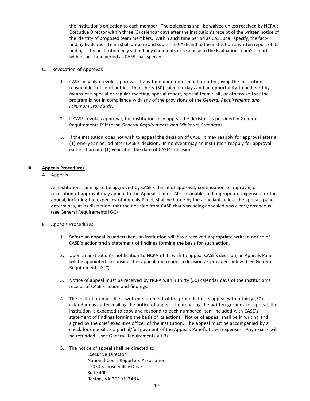the institution's objection to each member. The objections shall be waived unless received by NCRA's Executive Director within three (3) calendar days after the institution's receipt of the written notice of the identity of proposed team members. Within such time period as CASE shall specify, the factfinding Evaluation Team shall prepare and submit to CASE and to the institution a written report of its findings. The institution may submit any comments or response to the Evaluation Team's report within such time period as CASE shall specify.

- C. Revocation of Approval:
	- 1. CASE may also revoke approval at any time upon determination after giving the institution reasonable notice of not less than thirty (30) calendar days and an opportunity to be heard by means of a special or regular meeting, special report, special team visit, or otherwise that the program is not in compliance with any of the provisions of the *General Requirements and Minimum Standards*.
	- 2. If CASE revokes approval, the institution may appeal the decision as provided in General Requirements IX if these *General Requirements and Minimum Standards*.
	- 3. If the institution does not wish to appeal the decision of CASE, it may reapply for approval after a (1) one-year period after CASE's decision. In no event may an institution reapply for approval earlier than one (1) year after the date of CASE's decision.

## <span id="page-10-0"></span>**IX. Appeals Procedures**

## A. Appeals

An institution claiming to be aggrieved by CASE's denial of approval, continuation of approval, or revocation of approval may appeal to the Appeals Panel. All reasonable and appropriate expenses for the appeal, including the expenses of Appeals Panel, shall be borne by the appellant unless the appeals panel determines, at its discretion, that the decision from CASE that was being appealed was clearly erroneous. (see General Requirements IX-C)

- B. Appeals Procedures
	- 1. Before an appeal is undertaken, an institution will have received appropriate written notice of CASE's action and a statement of findings forming the basis for such action.
	- 2. Upon an institution's notification to NCRA of its wish to appeal CASE's decision, an Appeals Panel will be appointed to consider the appeal and render a decision as provided below. (see General Requirements IX-C)
	- 3. Notice of appeal must be received by NCRA within thirty (30) calendar days of the institution's receipt of CASE's action and findings.
	- 4. The institution must file a written statement of the grounds for its appeal within thirty (30) calendar days after mailing the notice of appeal. In preparing the written grounds for appeal, the institution is expected to copy and respond to each numbered item included with CASE's statement of findings forming the basis of its actions. Notice of appeal shall be in writing and signed by the chief executive officer of the institution. The appeal must be accompanied by a check for deposit as a partial/full payment of the Appeals Panel's travel expenses. Any excess will be refunded. (see General Requirements VII-B)
	- 5. The notice of appeal shall be directed to: Executive Director National Court Reporters Association 12030 Sunrise Valley Drive Suite 400 Reston, VA 20191-3484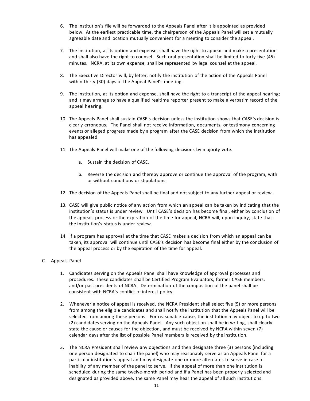- 6. The institution's file will be forwarded to the Appeals Panel after it is appointed as provided below. At the earliest practicable time, the chairperson of the Appeals Panel will set a mutually agreeable date and location mutually convenient for a meeting to consider the appeal.
- 7. The institution, at its option and expense, shall have the right to appear and make a presentation and shall also have the right to counsel. Such oral presentation shall be limited to forty-five (45) minutes. NCRA, at its own expense, shall be represented by legal counsel at the appeal.
- 8. The Executive Director will, by letter, notify the institution of the action of the Appeals Panel within thirty (30) days of the Appeal Panel's meeting.
- 9. The institution, at its option and expense, shall have the right to a transcript of the appeal hearing; and it may arrange to have a qualified realtime reporter present to make a verbatim record of the appeal hearing.
- 10. The Appeals Panel shall sustain CASE's decision unless the institution shows that CASE's decision is clearly erroneous. The Panel shall not receive information, documents, or testimony concerning events or alleged progress made by a program after the CASE decision from which the institution has appealed.
- 11. The Appeals Panel will make one of the following decisions by majority vote.
	- a. Sustain the decision of CASE.
	- b. Reverse the decision and thereby approve or continue the approval of the program, with or without conditions or stipulations.
- 12. The decision of the Appeals Panel shall be final and not subject to any further appeal or review.
- 13. CASE will give public notice of any action from which an appeal can be taken by indicating that the institution's status is under review. Until CASE's decision has become final, either by conclusion of the appeals process or the expiration of the time for appeal, NCRA will, upon inquiry, state that the institution's status is under review.
- 14. If a program has approval at the time that CASE makes a decision from which an appeal can be taken, its approval will continue until CASE's decision has become final either by the conclusion of the appeal process or by the expiration of the time for appeal.
- C. Appeals Panel
	- 1. Candidates serving on the Appeals Panel shall have knowledge of approval processes and procedures. These candidates shall be Certified Program Evaluators, former CASE members, and/or past presidents of NCRA. Determination of the composition of the panel shall be consistent with NCRA's conflict of interest policy.
	- 2. Whenever a notice of appeal is received, the NCRA President shall select five (5) or more persons from among the eligible candidates and shall notify the institution that the Appeals Panel will be selected from among these persons. For reasonable cause, the institution may object to up to two (2) candidates serving on the Appeals Panel. Any such objection shall be in writing, shall clearly state the cause or causes for the objection, and must be received by NCRA within seven (7) calendar days after the list of possible Panel members is received by the institution.
	- 3. The NCRA President shall review any objections and then designate three (3) persons (including one person designated to chair the panel) who may reasonably serve as an Appeals Panel for a particular institution's appeal and may designate one or more alternates to serve in case of inability of any member of the panel to serve. If the appeal of more than one institution is scheduled during the same twelve-month period and if a Panel has been properly selected and designated as provided above, the same Panel may hear the appeal of all such institutions.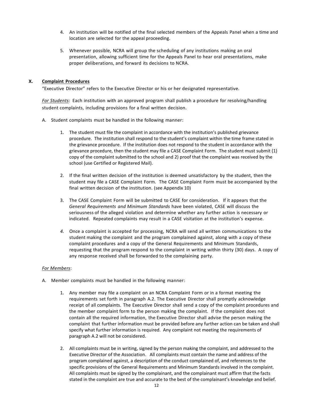- 4. An institution will be notified of the final selected members of the Appeals Panel when a time and location are selected for the appeal proceeding.
- 5. Whenever possible, NCRA will group the scheduling of any institutions making an oral presentation, allowing sufficient time for the Appeals Panel to hear oral presentations, make proper deliberations, and forward its decisions to NCRA.

## <span id="page-12-0"></span>**X. Complaint Procedures**

"Executive Director" refers to the Executive Director or his or her designated representative.

*For Students*: Each institution with an approved program shall publish a procedure for resolving/handling student complaints, including provisions for a final written decision.

- A. Student complaints must be handled in the following manner:
	- 1. The student must file the complaint in accordance with the institution's published grievance procedure. The institution shall respond to the student's complaint within the time frame stated in the grievance procedure. If the institution does not respond to the student in accordance with the grievance procedure, then the student may file a CASE Complaint Form. The student must submit (1) copy of the complaint submitted to the school and 2) proof that the complaint was received by the school (use Certified or Registered Mail).
	- 2. If the final written decision of the institution is deemed unsatisfactory by the student, then the student may file a CASE Complaint Form. The CASE Complaint Form must be accompanied by the final written decision of the institution. (see Appendix 10)
	- 3. The CASE Complaint Form will be submitted to CASE for consideration. If it appears that the *General Requirements and Minimum Standards* have been violated, CASE will discuss the seriousness of the alleged violation and determine whether any further action is necessary or indicated. Repeated complaints may result in a CASE visitation at the institution's expense.
	- *4.* Once a complaint is accepted for processing, NCRA will send all written communications to the student making the complaint and the program complained against, along with a copy of these complaint procedures and a copy of the General Requirements and Minimum Standards, requesting that the program respond to the complaint in writing within thirty (30) days. A copy of any response received shall be forwarded to the complaining party.

## *For Members*:

- A. Member complaints must be handled in the following manner:
	- 1. Any member may file a complaint on an NCRA Complaint Form or in a format meeting the requirements set forth in paragraph A.2. The Executive Director shall promptly acknowledge receipt of all complaints. The Executive Director shall send a copy of the complaint procedures and the member complaint form to the person making the complaint. If the complaint does not contain all the required information, the Executive Director shall advise the person making the complaint that further information must be provided before any further action can be taken and shall specify what further information is required. Any complaint not meeting the requirements of paragraph A.2 will not be considered.
	- 2. All complaints must be in writing, signed by the person making the complaint, and addressed to the Executive Director of the Association. All complaints must contain the name and address of the program complained against, a description of the conduct complained of, and references to the specific provisions of the General Requirements and Minimum Standards involved in the complaint. All complaints must be signed by the complainant, and the complainant must affirm that the facts stated in the complaint are true and accurate to the best of the complainant's knowledge and belief.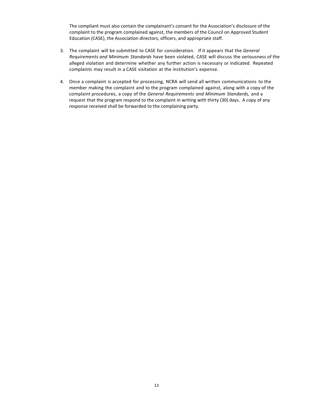The compliant must also contain the complainant's consent for the Association's disclosure of the complaint to the program complained against, the members of the Council on Approved Student Education (CASE), the Association directors, officers, and appropriate staff.

- 3. The complaint will be submitted to CASE for consideration. If it appears that the *General Requirements and Minimum Standards* have been violated, CASE will discuss the seriousness of the alleged violation and determine whether any further action is necessary or indicated. Repeated complaints may result in a CASE visitation at the institution's expense.
- 4. Once a complaint is accepted for processing, NCRA will send all written communications to the member making the complaint and to the program complained against, along with a copy of the complaint procedures, a copy of the *General Requirements and Minimum Standards,* and a request that the program respond to the complaint in writing with thirty (30) days. A copy of any response received shall be forwarded to the complaining party.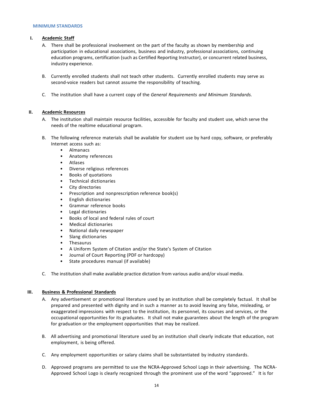#### <span id="page-14-1"></span><span id="page-14-0"></span>**MINIMUM STANDARDS**

## **I. Academic Staff**

- A. There shall be professional involvement on the part of the faculty as shown by membership and participation in educational associations, business and industry, professional associations, continuing education programs, certification (such as Certified Reporting Instructor), or concurrent related business, industry experience.
- B. Currently enrolled students shall not teach other students. Currently enrolled students may serve as second-voice readers but cannot assume the responsibility of teaching.
- C. The institution shall have a current copy of the *General Requirements and Minimum Standards.*

## <span id="page-14-2"></span>**II. Academic Resources**

- A. The institution shall maintain resource facilities, accessible for faculty and student use, which serve the needs of the realtime educational program.
- B. The following reference materials shall be available for student use by hard copy, software, or preferably Internet access such as:
	- Almanacs
	- Anatomy references
	- Atlases
	- Diverse religious references
	- Books of quotations
	- Technical dictionaries
	- City directories
	- Prescription and nonprescription reference book(s)
	- English dictionaries
	- Grammar reference books
	- Legal dictionaries
	- Books of local and federal rules of court
	- Medical dictionaries
	- National daily newspaper
	- Slang dictionaries
	- **Thesaurus**
	- A Uniform System of Citation and/or the State's System of Citation
	- Journal of Court Reporting (PDF or hardcopy)
	- State procedures manual (if available)
- C. The institution shall make available practice dictation from various audio and/or visual media.

## <span id="page-14-3"></span>**III. Business & Professional Standards**

- A. Any advertisement or promotional literature used by an institution shall be completely factual. It shall be prepared and presented with dignity and in such a manner as to avoid leaving any false, misleading, or exaggerated impressions with respect to the institution, its personnel, its courses and services, or the occupational opportunities for its graduates. It shall not make guarantees about the length of the program for graduation or the employment opportunities that may be realized.
- B. All advertising and promotional literature used by an institution shall clearly indicate that education, not employment, is being offered.
- C. Any employment opportunities or salary claims shall be substantiated by industry standards.
- D. Approved programs are permitted to use the NCRA-Approved School Logo in their advertising. The NCRA-Approved School Logo is clearly recognized through the prominent use of the word "approved." It is for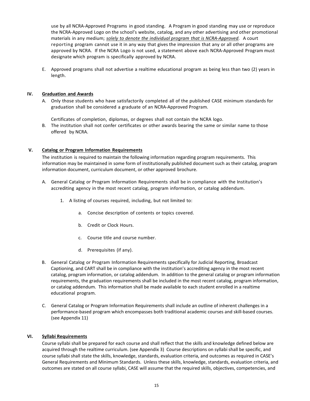use by all NCRA-Approved Programs in good standing. A Program in good standing may use or reproduce the NCRA-Approved Logo on the school's website, catalog, and any other advertising and other promotional materials in any medium; *solely to denote the individual program that is NCRA-Approved*. A court reporting program cannot use it in any way that gives the impression that any or all other programs are approved by NCRA. If the NCRA Logo is not used, a statement above each NCRA-Approved Program must designate which program is specifically approved by NCRA.

E. Approved programs shall not advertise a realtime educational program as being less than two (2) years in length.

## <span id="page-15-0"></span>**IV. Graduation and Awards**

A. Only those students who have satisfactorily completed all of the published CASE minimum standards for graduation shall be considered a graduate of an NCRA-Approved Program*.*

Certificates of completion, diplomas, or degrees shall not contain the NCRA logo.

B. The institution shall not confer certificates or other awards bearing the same or similar name to those offered by NCRA.

## <span id="page-15-1"></span>**V. Catalog or Program Information Requirements**

The institution is required to maintain the following information regarding program requirements. This information may be maintained in some form of institutionally published document such as their catalog, program information document, curriculum document, or other approved brochure.

- A. General Catalog or Program Information Requirements shall be in compliance with the Institution's accrediting agency in the most recent catalog, program information, or catalog addendum.
	- 1. A listing of courses required, including, but not limited to:
		- a. Concise description of contents or topics covered.
		- b. Credit or Clock Hours.
		- c. Course title and course number.
		- d. Prerequisites (if any).
- B. General Catalog or Program Information Requirements specifically for Judicial Reporting, Broadcast Captioning, and CART shall be in compliance with the institution's accrediting agency in the most recent catalog, program information, or catalog addendum. In addition to the general catalog or program information requirements, the graduation requirements shall be included in the most recent catalog, program information, or catalog addendum. This information shall be made available to each student enrolled in a realtime educational program.
- C. General Catalog or Program Information Requirements shall include an outline of inherent challenges in a performance-based program which encompasses both traditional academic courses and skill-based courses. (see Appendix 11)

#### <span id="page-15-2"></span>**VI. Syllabi Requirements**

Course syllabi shall be prepared for each course and shall reflect that the skills and knowledge defined below are acquired through the realtime curriculum. (see Appendix 3) Course descriptions on syllabi shall be specific, and course syllabi shall state the skills, knowledge, standards, evaluation criteria, and outcomes as required in CASE's General Requirements and Minimum Standards. Unless these skills, knowledge, standards, evaluation criteria, and outcomes are stated on all course syllabi, CASE will assume that the required skills, objectives, competencies, and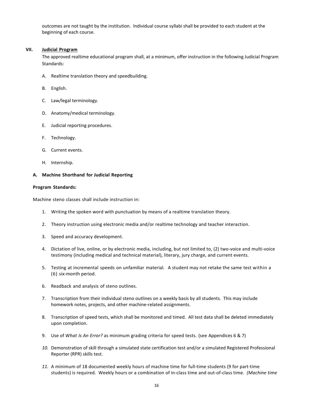outcomes are not taught by the institution. Individual course syllabi shall be provided to each student at the beginning of each course.

## <span id="page-16-0"></span>**VII. Judicial Program**

The approved realtime educational program shall, at a minimum, offer instruction in the following Judicial Program Standards:

- A. Realtime translation theory and speedbuilding.
- B. English.
- C. Law/legal terminology.
- D. Anatomy/medical terminology.
- E. Judicial reporting procedures.
- F. Technology.
- G. Current events.
- H. Internship.

## **A. Machine Shorthand for Judicial Reporting**

#### **Program Standards:**

Machine steno classes shall include instruction in:

- 1. Writing the spoken word with punctuation by means of a realtime translation theory.
- 2. Theory instruction using electronic media and/or realtime technology and teacher interaction.
- 3. Speed and accuracy development.
- 4. Dictation of live, online, or by electronic media, including, but not limited to, (2) two-voice and multi-voice testimony (including medical and technical material), literary, jury charge, and current events.
- 5. Testing at incremental speeds on unfamiliar material. A student may not retake the same test within a (6) six-month period.
- 6. Readback and analysis of steno outlines.
- 7. Transcription from their individual steno outlines on a weekly basis by all students. This may include homework notes, projects, and other machine-related assignments.
- 8. Transcription of speed tests, which shall be monitored and timed. All test data shall be deleted immediately upon completion.
- 9. Use of *What Is An Error?* as minimum grading criteria for speed tests. (see Appendices 6 & 7)
- *10.* Demonstration of skill through a simulated state certification test and/or a simulated Registered Professional Reporter (RPR) skills test.
- *11.* A minimum of 18 documented weekly hours of machine time for full-time students (9 for part-time students) is required. Weekly hours or a combination of in-class time and out-of-class time. *(Machine time*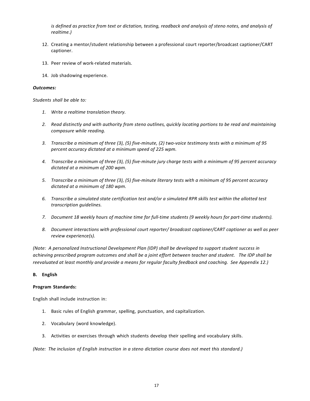*is defined as practice from text or dictation, testing, readback and analysis of steno notes, and analysis of realtime.)*

- 12. Creating a mentor/student relationship between a professional court reporter/broadcast captioner/CART captioner.
- 13. Peer review of work-related materials.
- 14. Job shadowing experience.

#### *Outcomes:*

*Students shall be able to:*

- *1. Write a realtime translation theory.*
- *2. Read distinctly and with authority from steno outlines, quickly locating portions to be read and maintaining composure while reading.*
- *3. Transcribe a minimum of three (3), (5) five-minute, (2) two-voice testimony tests with a minimum of 95 percent accuracy dictated at a minimum speed of 225 wpm.*
- *4. Transcribe a minimum of three (3), (5) five-minute jury charge tests with a minimum of 95 percent accuracy dictated at a minimum of 200 wpm.*
- *5. Transcribe a minimum of three (3), (5) five-minute literary tests with a minimum of 95 percent accuracy dictated at a minimum of 180 wpm.*
- *6. Transcribe a simulated state certification test and/or a simulated RPR skills test within the allotted test transcription guidelines.*
- *7. Document 18 weekly hours of machine time for full-time students (9 weekly hours for part-time students).*
- *8. Document interactions with professional court reporter/ broadcast captioner/CART captioner as well as peer review experience(s).*

*(Note: A personalized Instructional Development Plan (IDP) shall be developed to support student success in achieving prescribed program outcomes and shall be a joint effort between teacher and student. The IDP shall be reevaluated at least monthly and provide a means for regular faculty feedback and coaching. See Appendix 12.)* 

#### **B. English**

#### **Program Standards:**

English shall include instruction in:

- 1. Basic rules of English grammar, spelling, punctuation, and capitalization.
- 2. Vocabulary (word knowledge).
- 3. Activities or exercises through which students develop their spelling and vocabulary skills.

*(Note: The inclusion of English instruction in a steno dictation course does not meet this standard.)*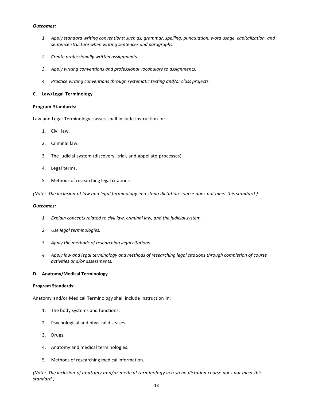- *1. Apply standard writing conventions; such as, grammar, spelling, punctuation, word usage, capitalization, and sentence structure when writing sentences and paragraphs.*
- *2. Create professionally written assignments.*
- *3. Apply writing conventions and professional vocabulary to assignments.*
- *4. Practice writing conventions through systematic testing and/or class projects.*

## **C. Law/Legal Terminology**

#### **Program Standards:**

Law and Legal Terminology classes shall include instruction in:

- 1. Civil law.
- 2. Criminal law.
- 3. The judicial system (discovery, trial, and appellate processes).
- 4. Legal terms.
- 5. Methods of researching legal citations.

*(Note: The inclusion of law and legal terminology in a steno dictation course does not meet this standard.)*

#### *Outcomes:*

- *1. Explain concepts related to civil law, criminal law, and the judicial system.*
- *2. Use legal terminologies.*
- *3. Apply the methods of researching legal citations.*
- *4. Apply law and legal terminology and methods of researching legal citations through completion of course activities and/or assessments.*

## **D. Anatomy/Medical Terminology**

#### **Program Standards:**

Anatomy and/or Medical Terminology shall include instruction in:

- 1. The body systems and functions.
- 2. Psychological and physical diseases.
- 3. Drugs.
- 4. Anatomy and medical terminologies.
- 5. Methods of researching medical information.

*(Note: The inclusion of anatomy and/or medical terminology in a steno dictation course does not meet this standard.)*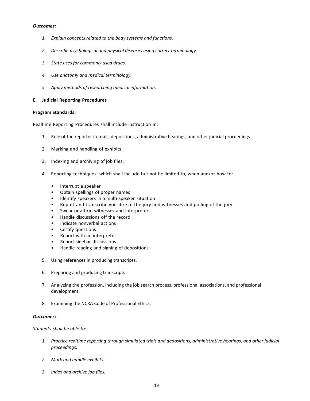- *1. Explain concepts related to the body systems and functions.*
- *2. Describe psychological and physical diseases using correct terminology.*
- *3. State uses for commonly used drugs.*
- *4. Use anatomy and medical terminology.*
- *5. Apply methods of researching medical information.*

## **E. Judicial Reporting Procedures**

## **Program Standards:**

Realtime Reporting Procedures shall include instruction in:

- 1. Role of the reporter in trials, depositions, administrative hearings, and other judicial proceedings.
- 2. Marking and handling of exhibits.
- 3. Indexing and archiving of job files.
- 4. Reporting techniques, which shall include but not be limited to, when and/or how to:
	- Interrupt a speaker
	- Obtain spellings of proper names
	- Identify speakers in a multi-speaker situation
	- Report and transcribe voir dire of the jury and witnesses and polling of the jury
	- Swear or affirm witnesses and interpreters
	- Handle discussions off the record
	- Indicate nonverbal actions
	- Certify questions
	- Report with an interpreter
	- Report sidebar discussions
	- Handle reading and signing of depositions
- 5. Using references in producing transcripts.
- 6. Preparing and producing transcripts.
- 7. Analyzing the profession, including the job search process, professional associations, and professional development.
- 8. Examining the NCRA Code of Professional Ethics.

## *Outcomes:*

*Students shall be able to:*

- *1. Practice realtime reporting through simulated trials and depositions, administrative hearings, and other judicial proceedings.*
- *2. Mark and handle exhibits.*
- *3. Index and archive job files.*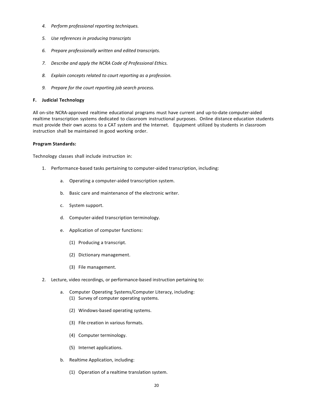- *4. Perform professional reporting techniques.*
- *5. Use references in producing transcripts*
- *6. Prepare professionally written and edited transcripts.*
- *7. Describe and apply the NCRA Code of Professional Ethics.*
- *8. Explain concepts related to court reporting as a profession.*
- *9. Prepare for the court reporting job search process.*

## **F. Judicial Technology**

All on-site NCRA-approved realtime educational programs must have current and up-to-date computer-aided realtime transcription systems dedicated to classroom instructional purposes. Online distance education students must provide their own access to a CAT system and the Internet*.* Equipment utilized by students in classroom instruction shall be maintained in good working order.

## **Program Standards:**

Technology classes shall include instruction in:

- 1. Performance-based tasks pertaining to computer-aided transcription, including:
	- a. Operating a computer-aided transcription system.
	- b. Basic care and maintenance of the electronic writer.
	- c. System support.
	- d. Computer-aided transcription terminology.
	- e. Application of computer functions:
		- (1) Producing a transcript.
		- (2) Dictionary management.
		- (3) File management.
- 2. Lecture, video recordings, or performance-based instruction pertaining to:
	- a. Computer Operating Systems/Computer Literacy, including: (1) Survey of computer operating systems.
		- (2) Windows-based operating systems.
		- (3) File creation in various formats.
		- (4) Computer terminology.
		- (5) Internet applications.
	- b. Realtime Application, including:
		- (1) Operation of a realtime translation system.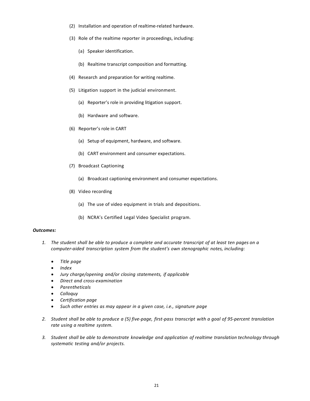- (2) Installation and operation of realtime-related hardware.
- (3) Role of the realtime reporter in proceedings, including:
	- (a) Speaker identification.
	- (b) Realtime transcript composition and formatting.
- (4) Research and preparation for writing realtime.
- (5) Litigation support in the judicial environment.
	- (a) Reporter's role in providing litigation support.
	- (b) Hardware and software.
- (6) Reporter's role in CART
	- (a) Setup of equipment, hardware, and software.
	- (b) CART environment and consumer expectations.
- (7) Broadcast Captioning
	- (a) Broadcast captioning environment and consumer expectations.
- (8) Video recording
	- (a) The use of video equipment in trials and depositions.
	- (b) NCRA's Certified Legal Video Specialist program.

- 1. The student shall be able to produce a complete and accurate transcript of at least ten pages on a *computer-aided transcription system from the student's own stenographic notes, including:*
	- *Title page*
	- *Index*
	- *Jury charge/opening and/or closing statements, if applicable*
	- *Direct and cross-examination*
	- *Parentheticals*
	- *Colloquy*
	- *Certification page*
	- *Such other entries as may appear in a given case, i.e., signature page*
- 2. Student shall be able to produce a (5) five-page, first-pass transcript with a goal of 95-percent translation *rate using a realtime system.*
- *3. Student shall be able to demonstrate knowledge and application of realtime translation technology through systematic testing and/or projects.*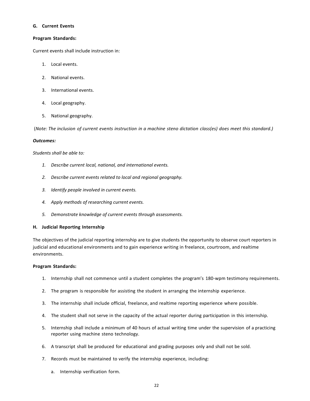#### **G. Current Events**

### **Program Standards:**

Current events shall include instruction in:

- 1. Local events.
- 2. National events.
- 3. International events.
- 4. Local geography.
- 5. National geography.

(*Note: The inclusion of current events instruction in a machine steno dictation class(es) does meet this standard.)*

#### *Outcomes:*

*Students shall be able to:*

- *1. Describe current local, national, and international events.*
- *2. Describe current events related to local and regional geography.*
- *3. Identify people involved in current events.*
- *4. Apply methods of researching current events.*
- *5. Demonstrate knowledge of current events through assessments.*

## **H. Judicial Reporting Internship**

The objectives of the judicial reporting internship are to give students the opportunity to observe court reporters in judicial and educational environments and to gain experience writing in freelance, courtroom, and realtime environments.

## **Program Standards:**

- 1. Internship shall not commence until a student completes the program's 180-wpm testimony requirements.
- 2. The program is responsible for assisting the student in arranging the internship experience.
- 3. The internship shall include official, freelance, and realtime reporting experience where possible.
- 4. The student shall not serve in the capacity of the actual reporter during participation in this internship.
- 5. Internship shall include a minimum of 40 hours of actual writing time under the supervision of a practicing reporter using machine steno technology.
- 6. A transcript shall be produced for educational and grading purposes only and shall not be sold.
- 7. Records must be maintained to verify the internship experience, including:
	- a. Internship verification form.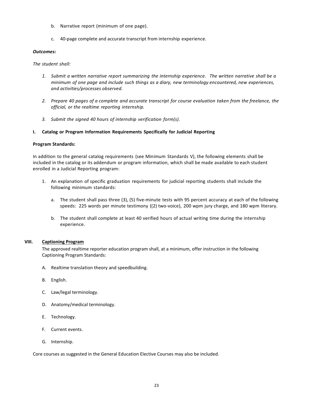- b. Narrative report (minimum of one page).
- c. 40-page complete and accurate transcript from internship experience.

*The student shall:*

- *1. Submit a written narrative report summarizing the internship experience. The written narrative shall be a minimum of one page and include such things as a diary, new terminology encountered, new experiences, and activities/processes observed.*
- 2. Prepare 40 pages of a complete and accurate transcript for course evaluation taken from the freelance, the *official, or the realtime reporting internship.*
- *3. Submit the signed 40 hours of internship verification form(s).*

## **I. Catalog or Program Information Requirements Specifically for Judicial Reporting**

## **Program Standards:**

In addition to the general catalog requirements (see Minimum Standards V), the following elements shall be included in the catalog or its addendum or program information, which shall be made available to each student enrolled in a Judicial Reporting program:

- 1. An explanation of specific graduation requirements for judicial reporting students shall include the following minimum standards:
	- a. The student shall pass three (3), (5) five-minute tests with 95 percent accuracy at each of the following speeds: 225 words per minute testimony ((2) two-voice), 200 wpm jury charge, and 180 wpm literary.
	- b. The student shall complete at least 40 verified hours of actual writing time during the internship experience.

## <span id="page-23-0"></span>**VIII. Captioning Program**

The approved realtime reporter education program shall, at a minimum, offer instruction in the following Captioning Program Standards:

- A. Realtime translation theory and speedbuilding.
- B. English.
- C. Law/legal terminology.
- D. Anatomy/medical terminology.
- E. Technology.
- F. Current events.
- G. Internship.

Core courses as suggested in the General Education Elective Courses may also be included.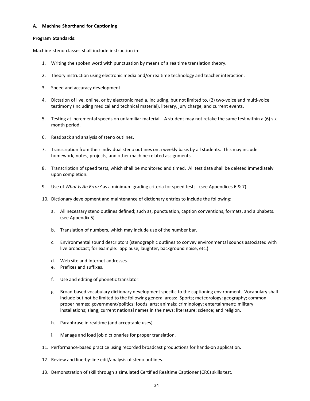### **A. Machine Shorthand for Captioning**

#### **Program Standards:**

Machine steno classes shall include instruction in:

- 1. Writing the spoken word with punctuation by means of a realtime translation theory.
- 2. Theory instruction using electronic media and/or realtime technology and teacher interaction.
- 3. Speed and accuracy development.
- 4. Dictation of live, online, or by electronic media, including, but not limited to, (2) two-voice and multi-voice testimony (including medical and technical material), literary, jury charge, and current events.
- 5. Testing at incremental speeds on unfamiliar material. A student may not retake the same test within a (6) sixmonth period.
- 6. Readback and analysis of steno outlines.
- 7. Transcription from their individual steno outlines on a weekly basis by all students. This may include homework, notes, projects, and other machine-related assignments.
- 8. Transcription of speed tests, which shall be monitored and timed. All test data shall be deleted immediately upon completion.
- 9. Use of *What Is An Error?* as a minimum grading criteria for speed tests. (see Appendices 6 & 7)
- 10. Dictionary development and maintenance of dictionary entries to include the following:
	- a. All necessary steno outlines defined; such as, punctuation, caption conventions, formats, and alphabets. (see Appendix 5)
	- b. Translation of numbers, which may include use of the number bar.
	- c. Environmental sound descriptors (stenographic outlines to convey environmental sounds associated with live broadcast; for example: applause, laughter, background noise, etc.)
	- d. Web site and Internet addresses.
	- e. Prefixes and suffixes.
	- f. Use and editing of phonetic translator.
	- g. Broad-based vocabulary dictionary development specific to the captioning environment. Vocabulary shall include but not be limited to the following general areas: Sports; meteorology; geography; common proper names; government/politics; foods; arts; animals; criminology; entertainment; military installations; slang; current national names in the news; literature; science; and religion.
	- h. Paraphrase in realtime (and acceptable uses).
	- i. Manage and load job dictionaries for proper translation.
- 11. Performance-based practice using recorded broadcast productions for hands-on application.
- 12. Review and line-by-line edit/analysis of steno outlines.
- 13. Demonstration of skill through a simulated Certified Realtime Captioner (CRC) skills test.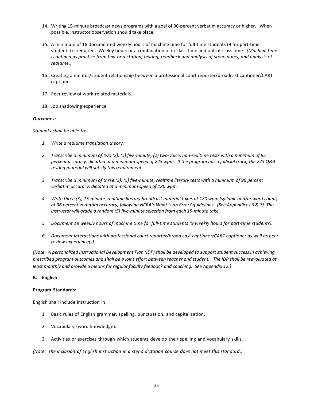- 14. Writing 15-minute broadcast news programs with a goal of 96-percent verbatim accuracy or higher. When possible, instructor observation should take place.
- *15.* A minimum of 18 documented weekly hours of machine time for full-time students (9 for part-time students) is required. Weekly hours or a combination of in-class time and out-of-class time. *(Machine time is defined as practice from text or dictation, testing, readback and analysis of steno notes, and analysis of realtime.)*
- 16. Creating a mentor/student relationship between a professional court reporter/broadcast captioner/CART captioner.
- 17. Peer review of work-related materials.
- 18. Job shadowing experience.

*Students shall be able to:*

- *1. Write a realtime translation theory.*
- *2. Transcribe a minimum of two (2), (5) five-minute, (2) two-voice, non-realtime tests with a minimum of 95 percent accuracy, dictated at a minimum speed of 225 wpm. If the program has a judicial track, the 225 Q&A testing material will satisfy this requirement.*
- *3. Transcribe a minimum of three (3), (5) five-minute, realtime literary tests with a minimum of 96 percent verbatim accuracy, dictated at a minimum speed of 180 wpm.*
- *4. Write three (3), 15-minute, realtime literary broadcast material takes at 180 wpm (syllabic and/or word count) at 96 percent verbatim accuracy, following NCRA's What is an Error? guidelines. (See Appendices 6 & 7) The instructor will grade a random (5) five-minute selection from each 15-minute take.*
- *5. Document 18 weekly hours of machine time for full-time students (9 weekly hours for part-time students).*
- *6. Document interactions with professional court reporter/broad cast captioner/CART captioner as well as peer review experience(s).*

*(Note: A personalized Instructional Development Plan (IDP) shall be developed to support student success in achieving prescribed program outcomes and shall be a joint effort between teacher and student. The IDP shall be reevaluated at least monthly and provide a means for regular faculty feedback and coaching. See Appendix 12.)* 

#### **B. English**

## **Program Standards:**

English shall include instruction in:

- 1. Basic rules of English grammar, spelling, punctuation, and capitalization.
- 2. Vocabulary (word knowledge).
- 3. Activities or exercises through which students develop their spelling and vocabulary skills.

*(Note: The inclusion of English instruction in a steno dictation course does not meet this standard.)*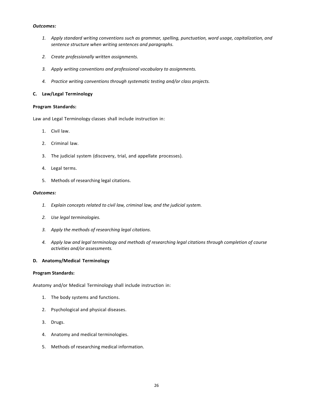- *1. Apply standard writing conventions such as grammar, spelling, punctuation, word usage, capitalization, and sentence structure when writing sentences and paragraphs.*
- *2. Create professionally written assignments.*
- *3. Apply writing conventions and professional vocabulary to assignments.*
- *4. Practice writing conventions through systematic testing and/or class projects.*

## **C. Law/Legal Terminology**

#### **Program Standards:**

Law and Legal Terminology classes shall include instruction in:

- 1. Civil law.
- 2. Criminal law.
- 3. The judicial system (discovery, trial, and appellate processes).
- 4. Legal terms.
- 5. Methods of researching legal citations.

#### *Outcomes:*

- *1. Explain concepts related to civil law, criminal law, and the judicial system.*
- *2. Use legal terminologies.*
- *3. Apply the methods of researching legal citations.*
- *4. Apply law and legal terminology and methods of researching legal citations through completion of course activities and/or assessments.*

#### **D. Anatomy/Medical Terminology**

## **Program Standards:**

Anatomy and/or Medical Terminology shall include instruction in:

- 1. The body systems and functions.
- 2. Psychological and physical diseases.
- 3. Drugs.
- 4. Anatomy and medical terminologies.
- 5. Methods of researching medical information.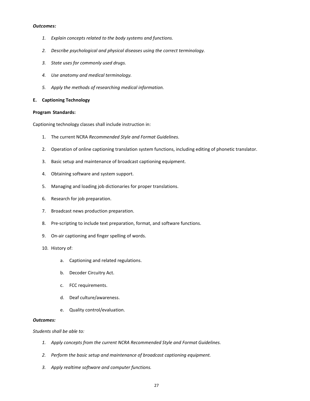- *1. Explain concepts related to the body systems and functions.*
- *2. Describe psychological and physical diseases using the correct terminology.*
- *3. State uses for commonly used drugs.*
- *4. Use anatomy and medical terminology.*
- *5. Apply the methods of researching medical information.*

## **E. Captioning Technology**

#### **Program Standards:**

Captioning technology classes shall include instruction in:

- 1. The current NCRA *Recommended Style and Format Guidelines*.
- 2. Operation of online captioning translation system functions, including editing of phonetic translator.
- 3. Basic setup and maintenance of broadcast captioning equipment.
- 4. Obtaining software and system support.
- 5. Managing and loading job dictionaries for proper translations.
- 6. Research for job preparation.
- 7. Broadcast news production preparation.
- 8. Pre-scripting to include text preparation, format, and software functions.
- 9. On-air captioning and finger spelling of words.
- 10. History of:
	- a. Captioning and related regulations.
	- b. Decoder Circuitry Act.
	- c. FCC requirements.
	- d. Deaf culture/awareness.
	- e. Quality control/evaluation.

## *Outcomes:*

#### *Students shall be able to:*

- *1. Apply concepts from the current NCRA Recommended Style and Format Guidelines.*
- *2. Perform the basic setup and maintenance of broadcast captioning equipment.*
- *3. Apply realtime software and computer functions.*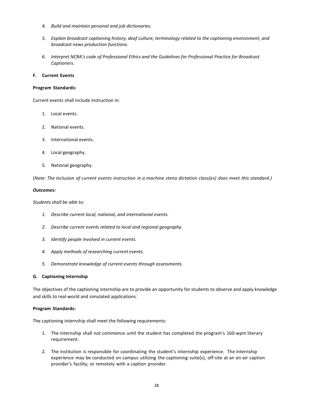- *4. Build and maintain personal and job dictionaries.*
- *5. Explain broadcast captioning history, deaf culture, terminology related to the captioning environment, and broadcast news production functions.*
- *6. Interpret NCRA's code of Professional Ethics and the Guidelines for Professional Practice for Broadcast Captioners.*

## **F. Current Events**

#### **Program Standards:**

Current events shall include instruction in:

- 1. Local events.
- 2. National events.
- 3. International events.
- 4. Local geography.
- 5. National geography.

(*Note: The inclusion of current events instruction in a machine steno dictation class(es) does meet this standard.)*

#### *Outcomes:*

*Students shall be able to:*

- *1. Describe current local, national, and international events.*
- *2. Describe current events related to local and regional geography.*
- *3. Identify people involved in current events.*
- *4. Apply methods of researching current events.*
- *5. Demonstrate knowledge of current events through assessments.*

#### **G. Captioning Internship**

The objectives of the captioning internship are to provide an opportunity for students to observe and apply knowledge and skills to real-world and simulated applications.

#### **Program Standards:**

The captioning internship shall meet the following requirements:

- 1. The internship shall not commence until the student has completed the program's 160-wpm literary requirement.
- 2. The institution is responsible for coordinating the student's internship experience. The internship experience may be conducted on campus utilizing the captioning suite(s), off-site at an on-air caption provider's facility, or remotely with a caption provider.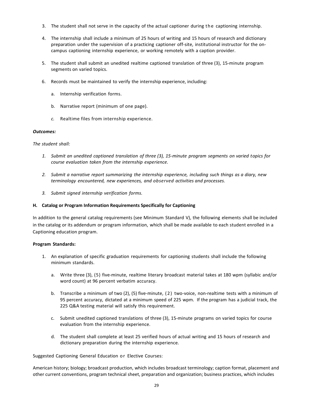- 3. The student shall not serve in the capacity of the actual captioner during the captioning internship.
- 4. The internship shall include a minimum of 25 hours of writing and 15 hours of research and dictionary preparation under the supervision of a practicing captioner off-site, institutional instructor for the oncampus captioning internship experience, or working remotely with a caption provider.
- 5. The student shall submit an unedited realtime captioned translation of three (3), 15-minute program segments on varied topics.
- 6. Records must be maintained to verify the internship experience, including:
	- a. Internship verification forms.
	- b. Narrative report (minimum of one page).
	- *c.* Realtime files from internship experience.

## *The student shall:*

- *1. Submit an unedited captioned translation of three (3), 15-minute program segments on varied topics for course evaluation taken from the internship experience.*
- *2. Submit a narrative report summarizing the internship experience, including such things as a diary, new terminology encountered, new experiences, and observed activities and processes.*
- *3. Submit signed internship verification forms.*

## **H. Catalog or Program Information Requirements Specifically for Captioning**

In addition to the general catalog requirements (see Minimum Standard V), the following elements shall be included in the catalog or its addendum or program information, which shall be made available to each student enrolled in a Captioning education program.

## **Program Standards:**

- 1. An explanation of specific graduation requirements for captioning students shall include the following minimum standards.
	- a. Write three (3), (5) five-minute, realtime literary broadcast material takes at 180 wpm (syllabic and/or word count) at 96 percent verbatim accuracy.
	- b. Transcribe a minimum of two (2), (5) five-minute, (2) two-voice, non-realtime tests with a minimum of 95 percent accuracy, dictated at a minimum speed of 225 wpm. If the program has a judicial track, the 225 Q&A testing material will satisfy this requirement.
	- c. Submit unedited captioned translations of three (3), 15-minute programs on varied topics for course evaluation from the internship experience.
	- d. The student shall complete at least 25 verified hours of actual writing and 15 hours of research and dictionary preparation during the internship experience.

Suggested Captioning General Education or Elective Courses:

American history; biology; broadcast production, which includes broadcast terminology; caption format, placement and other current conventions, program technical sheet, preparation and organization; business practices, which includes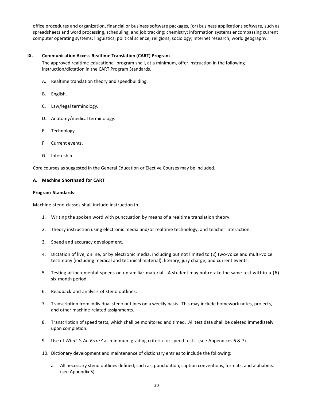office procedures and organization, financial or business software packages, (or) business applications software, such as spreadsheets and word processing, scheduling, and job tracking; chemistry; information systems encompassing current computer operating systems; linguistics; political science; religions; sociology; Internet research; world geography.

## <span id="page-30-0"></span>**IX. Communication Access Realtime Translation (CART) Program**

The approved realtime educational program shall, at a minimum, offer instruction in the following instruction/dictation in the CART Program Standards.

- A. Realtime translation theory and speedbuilding.
- B. English.
- C. Law/legal terminology.
- D. Anatomy/medical terminology.
- E. Technology.
- F. Current events.
- G. Internship.

Core courses as suggested in the General Education or Elective Courses may be included.

#### **A. Machine Shorthand for CART**

#### **Program Standards:**

Machine steno classes shall include instruction in:

- 1. Writing the spoken word with punctuation by means of a realtime translation theory.
- 2. Theory instruction using electronic media and/or realtime technology, and teacher interaction.
- 3. Speed and accuracy development.
- 4. Dictation of live, online, or by electronic media, including but not limited to (2) two-voice and multi-voice testimony (including medical and technical material), literary, jury charge, and current events.
- 5. Testing at incremental speeds on unfamiliar material. A student may not retake the same test within a (6) six-month period.
- 6. Readback and analysis of steno outlines.
- 7. Transcription from individual steno outlines on a weekly basis. This may include homework notes, projects, and other machine-related assignments.
- 8. Transcription of speed tests, which shall be monitored and timed. All test data shall be deleted immediately upon completion.
- 9. Use of *What Is An Error?* as minimum grading criteria for speed tests. (see Appendices 6 & 7)
- 10. Dictionary development and maintenance of dictionary entries to include the following:
	- a. All necessary steno outlines defined; such as, punctuation, caption conventions, formats, and alphabets. (see Appendix 5)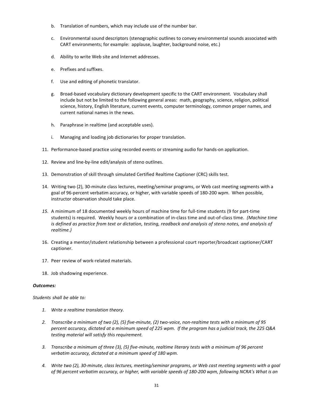- b. Translation of numbers, which may include use of the number bar.
- c. Environmental sound descriptors (stenographic outlines to convey environmental sounds associated with CART environments; for example: applause, laughter, background noise, etc.)
- d. Ability to write Web site and Internet addresses.
- e. Prefixes and suffixes.
- f. Use and editing of phonetic translator.
- g. Broad-based vocabulary dictionary development specific to the CART environment. Vocabulary shall include but not be limited to the following general areas: math, geography, science, religion, political science, history, English literature, current events, computer terminology, common proper names, and current national names in the news.
- h. Paraphrase in realtime (and acceptable uses).
- i. Managing and loading job dictionaries for proper translation.
- 11. Performance-based practice using recorded events or streaming audio for hands-on application.
- 12. Review and line-by-line edit/analysis of steno outlines.
- 13. Demonstration of skill through simulated Certified Realtime Captioner (CRC) skills test.
- 14. Writing two (2), 30-minute class lectures, meeting/seminar programs, or Web cast meeting segments with a goal of 96-percent verbatim accuracy, or higher, with variable speeds of 180-200 wpm. When possible, instructor observation should take place.
- *15.* A minimum of 18 documented weekly hours of machine time for full-time students (9 for part-time students) is required. Weekly hours or a combination of in-class time and out-of-class time. *(Machine time is defined as practice from text or dictation, testing, readback and analysis of steno notes, and analysis of realtime.)*
- 16. Creating a mentor/student relationship between a professional court reporter/broadcast captioner/CART captioner.
- 17. Peer review of work-related materials.
- 18. Job shadowing experience.

*Students shall be able to:*

- *1. Write a realtime translation theory.*
- *2. Transcribe a minimum of two (2), (5) five-minute, (2) two-voice, non-realtime tests with a minimum of 95 percent accuracy, dictated at a minimum speed of 225 wpm. If the program has a judicial track, the 225 Q&A testing material will satisfy this requirement.*
- *3. Transcribe a minimum of three (3), (5) five-minute, realtime literary tests with a minimum of 96 percent verbatim accuracy, dictated at a minimum speed of 180 wpm.*
- *4. Write two (2), 30-minute, class lectures, meeting/seminar programs, or Web cast meeting segments with a goal of 96 percent verbatim accuracy, or higher, with variable speeds of 180-200 wpm, following NCRA's What is an*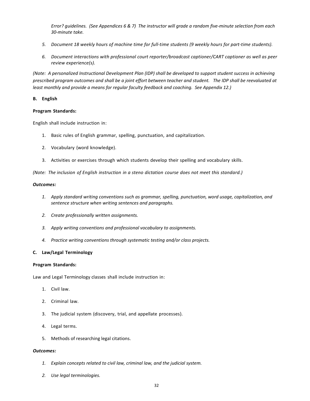*Error? guidelines. (See Appendices 6 & 7) The instructor will grade a random five-minute selection from each 30-minute take.*

- *5. Document 18 weekly hours of machine time for full-time students (9 weekly hours for part-time students).*
- *6. Document interactions with professional court reporter/broadcast captioner/CART captioner as well as peer review experience(s).*

*(Note: A personalized Instructional Development Plan (IDP) shall be developed to support student success in achieving prescribed program outcomes and shall be a joint effort between teacher and student. The IDP shall be reevaluated at least monthly and provide a means for regular faculty feedback and coaching. See Appendix 12.)* 

## **B. English**

## **Program Standards:**

English shall include instruction in:

- 1. Basic rules of English grammar, spelling, punctuation, and capitalization.
- 2. Vocabulary (word knowledge).
- 3. Activities or exercises through which students develop their spelling and vocabulary skills.

*(Note: The inclusion of English instruction in a steno dictation course does not meet this standard.)*

#### *Outcomes:*

- *1. Apply standard writing conventions such as grammar, spelling, punctuation, word usage, capitalization, and sentence structure when writing sentences and paragraphs.*
- *2. Create professionally written assignments.*
- *3. Apply writing conventions and professional vocabulary to assignments.*
- *4. Practice writing conventions through systematic testing and/or class projects.*

## **C. Law/Legal Terminology**

#### **Program Standards:**

Law and Legal Terminology classes shall include instruction in:

- 1. Civil law.
- 2. Criminal law.
- 3. The judicial system (discovery, trial, and appellate processes).
- 4. Legal terms.
- 5. Methods of researching legal citations.

#### *Outcomes:*

- *1. Explain concepts related to civil law, criminal law, and the judicial system.*
- *2. Use legal terminologies.*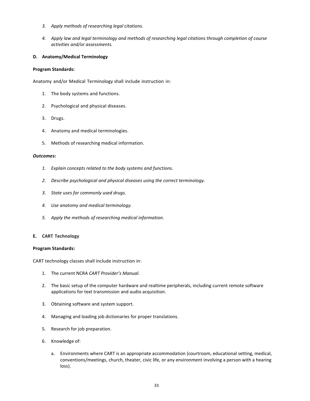- *3. Apply methods of researching legal citations.*
- *4. Apply law and legal terminology and methods of researching legal citations through completion of course activities and/or assessments.*

## **D. Anatomy/Medical Terminology**

#### **Program Standards:**

Anatomy and/or Medical Terminology shall include instruction in:

- 1. The body systems and functions.
- 2. Psychological and physical diseases.
- 3. Drugs.
- 4. Anatomy and medical terminologies.
- 5. Methods of researching medical information.

#### *Outcomes:*

- *1. Explain concepts related to the body systems and functions.*
- *2. Describe psychological and physical diseases using the correct terminology.*
- *3. State uses for commonly used drugs.*
- *4. Use anatomy and medical terminology.*
- *5. Apply the methods of researching medical information.*

#### **E. CART Technology**

#### **Program Standards:**

CART technology classes shall include instruction in:

- 1. The current NCRA *CART Provider's Manual*.
- 2. The basic setup of the computer hardware and realtime peripherals, including current remote software applications for text transmission and audio acquisition.
- 3. Obtaining software and system support.
- 4. Managing and loading job dictionaries for proper translations.
- 5. Research for job preparation.
- 6. Knowledge of:
	- a. Environments where CART is an appropriate accommodation (courtroom, educational setting, medical, conventions/meetings, church, theater, civic life, or any environment involving a person with a hearing loss).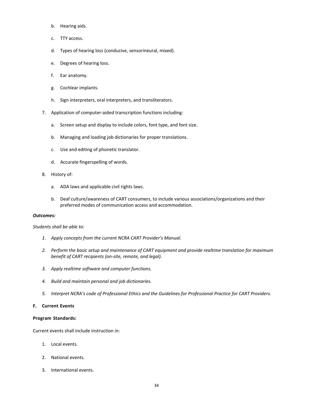- b. Hearing aids.
- c. TTY access.
- d. Types of hearing loss (conducive, sensorineural, mixed).
- e. Degrees of hearing loss.
- f. Ear anatomy.
- g. Cochlear implants.
- h. Sign interpreters, oral interpreters, and transliterators.
- 7. Application of computer-aided transcription functions including:
	- a. Screen setup and display to include colors, font type, and font size.
	- b. Managing and loading job dictionaries for proper translations.
	- c. Use and editing of phonetic translator.
	- d. Accurate fingerspelling of words.
- 8. History of:
	- a. ADA laws and applicable civil rights laws.
	- b. Deaf culture/awareness of CART consumers, to include various associations/organizations and their preferred modes of communication access and accommodation.

*Students shall be able to:*

- *1. Apply concepts from the current NCRA CART Provider's Manual.*
- *2. Perform the basic setup and maintenance of CART equipment and provide realtime translation for maximum benefit of CART recipients (on-site, remote, and legal).*
- *3. Apply realtime software and computer functions.*
- *4. Build and maintain personal and job dictionaries.*
- *5. Interpret NCRA's code of Professional Ethics and the Guidelines for Professional Practice for CART Providers.*

#### **F. Current Events**

#### **Program Standards:**

Current events shall include instruction in:

- 1. Local events.
- 2. National events.
- 3. International events.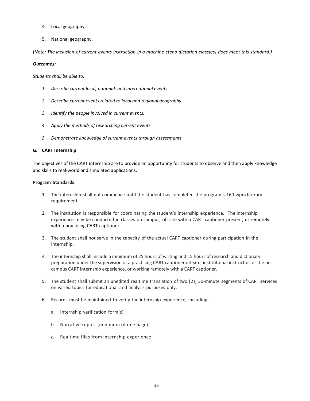- 4. Local geography.
- 5. National geography.

(*Note: The inclusion of current events instruction in a machine steno dictation class(es) does meet this standard.)*

## *Outcomes:*

*Students shall be able to:*

- *1. Describe current local, national, and international events.*
- *2. Describe current events related to local and regional geography.*
- *3. Identify the people involved in current events.*
- *4. Apply the methods of researching current events.*
- *5. Demonstrate knowledge of current events through assessments.*

## **G. CART Internship**

The objectives of the CART internship are to provide an opportunity for students to observe and then apply knowledge and skills to real-world and simulated applications.

## **Program Standards:**

- 1. The internship shall not commence until the student has completed the program's 160-wpm literary requirement.
- 2. The institution is responsible for coordinating the student's internship experience. The internship experience may be conducted in classes on campus, off site with a CART captioner present, or remotely with a practicing CART captioner.
- 3. The student shall not serve in the capacity of the actual CART captioner during participation in the internship.
- 4. The internship shall include a minimum of 25 hours of writing and 15 hours of research and dictionary preparation under the supervision of a practicing CART captioner off-site, institutional instructor for the oncampus CART internship experience, or working remotely with a CART captioner.
- 5. The student shall submit an unedited realtime translation of two (2), 30-minute segments of CART services on varied topics for educational and analysis purposes only.
- 6. Records must be maintained to verify the internship experience, including:
	- a. Internship verification form(s).
	- b. Narrative report (minimum of one page).
	- *c.* Realtime files from internship experience.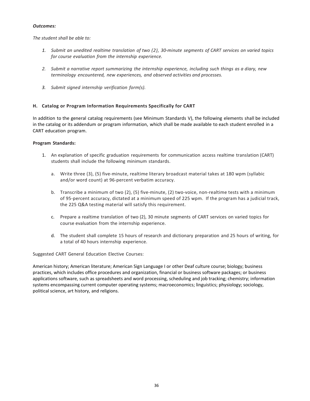*The student shall be able to:*

- *1. Submit an unedited realtime translation of two (2), 30-minute segments of CART services on varied topics for course evaluation from the internship experience.*
- *2. Submit a narrative report summarizing the internship experience, including such things as a diary, new terminology encountered, new experiences, and observed activities and processes.*
- *3. Submit signed internship verification form(s).*

## **H. Catalog or Program Information Requirements Specifically for CART**

In addition to the general catalog requirements (see Minimum Standards V), the following elements shall be included in the catalog or its addendum or program information, which shall be made available to each student enrolled in a CART education program.

## **Program Standards:**

- 1. An explanation of specific graduation requirements for communication access realtime translation (CART) students shall include the following minimum standards.
	- a. Write three (3), (5) five-minute, realtime literary broadcast material takes at 180 wpm (syllabic and/or word count) at 96-percent verbatim accuracy.
	- b. Transcribe a minimum of two (2), (5) five-minute, (2) two-voice, non-realtime tests with a minimum of 95-percent accuracy, dictated at a minimum speed of 225 wpm. If the program has a judicial track, the 225 Q&A testing material will satisfy this requirement.
	- c. Prepare a realtime translation of two (2), 30 minute segments of CART services on varied topics for course evaluation from the internship experience.
	- d. The student shall complete 15 hours of research and dictionary preparation and 25 hours of writing, for a total of 40 hours internship experience.

Suggested CART General Education Elective Courses:

American history; American literature; American Sign Language I or other Deaf culture course; biology; business practices, which includes office procedures and organization, financial or business software packages; or business applications software, such as spreadsheets and word processing, scheduling and job tracking; chemistry; information systems encompassing current computer operating systems; macroeconomics; linguistics; physiology; sociology, political science, art history, and religions.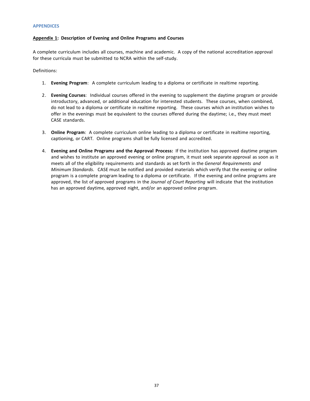#### <span id="page-37-0"></span>**APPENDICES**

#### <span id="page-37-1"></span>**Appendix 1: Description of Evening and Online Programs and Courses**

A complete curriculum includes all courses, machine and academic. A copy of the national accreditation approval for these curricula must be submitted to NCRA within the self-study.

Definitions:

- 1. **Evening Program**: A complete curriculum leading to a diploma or certificate in realtime reporting.
- 2. **Evening Courses**: Individual courses offered in the evening to supplement the daytime program or provide introductory, advanced, or additional education for interested students. These courses, when combined, do not lead to a diploma or certificate in realtime reporting. These courses which an institution wishes to offer in the evenings must be equivalent to the courses offered during the daytime; i.e., they must meet CASE standards.
- 3. **Online Program**: A complete curriculum online leading to a diploma or certificate in realtime reporting, captioning, or CART*.* Online programs shall be fully licensed and accredited.
- 4. **Evening and Online Program***s* **and the Approval Process:** If the institution has approved daytime program and wishes to institute an approved evening or online program, it must seek separate approval as soon as it meets all of the eligibility requirements and standards as set forth in the *General Requirements and Minimum Standards*. CASE must be notified and provided materials which verify that the evening or online program is a complete program leading to a diploma or certificate. If the evening and online programs are approved, the list of approved programs in the *Journal of Court Reporting* will indicate that the institution has an approved daytime*,* approved night, and/or an approved online program.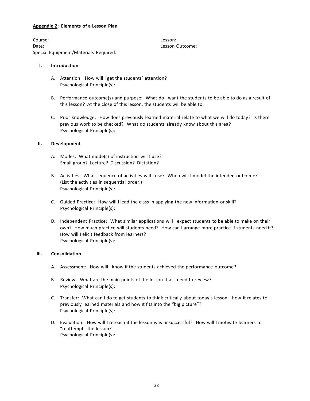## <span id="page-38-0"></span>**Appendix 2: Elements of a Lesson Plan**

Course: Lesson: Date: Lesson Outcome: Special Equipment/Materials Required:

## **I. Introduction**

- A. Attention: How will I get the students' attention? Psychological Principle(s):
- B. Performance outcome(s) and purpose: What do I want the students to be able to do as a result of this lesson? At the close of this lesson, the students will be able to:
- C. Prior knowledge: How does previously learned material relate to what we will do today? Is there previous work to be checked? What do students already know about this area? Psychological Principle(s):

## **II. Development**

- A. Modes: What mode(s) of instruction will I use? Small group? Lecture? Discussion? Dictation?
- B. Activities: What sequence of activities will I use? When will I model the intended outcome? (List the activities in sequential order.) Psychological Principle(s):
- C. Guided Practice: How will I lead the class in applying the new information or skill? Psychological Principle(s):
- D. Independent Practice: What similar applications will I expect students to be able to make on their own? How much practice will students need? How can I arrange more practice if students need it? How will I elicit feedback from learners? Psychological Principle(s):

## **III. Consolidation**

- A. Assessment: How will I know if the students achieved the performance outcome?
- B. Review: What are the main points of the lesson that I need to review? Psychological Principle(s):
- C. Transfer: What can I do to get students to think critically about today's lesson—how it relates to previously learned materials and how it fits into the "big picture"? Psychological Principle(s):
- D. Evaluation: How will I reteach if the lesson was unsuccessful? How will I motivate learners to "reattempt" the lesson? Psychological Principle(s):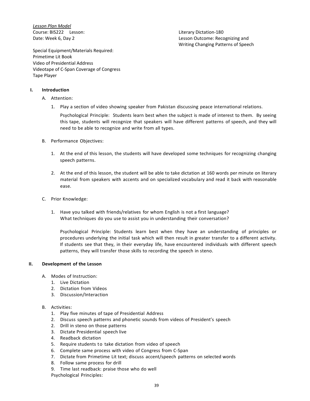*Lesson Plan Model* Course: BIS222 Lesson: Literary Dictation-180

Date: Week 6, Day 2 Lesson Outcome: Recognizing and Writing Changing Patterns of Speech

Special Equipment/Materials Required: Primetime Lit Book Video of Presidential Address Videotape of C-Span Coverage of Congress Tape Player

## **I. Introduction**

- A. Attention:
	- 1. Play a section of video showing speaker from Pakistan discussing peace international relations.

Psychological Principle: Students learn best when the subject is made of interest to them. By seeing this tape, students will recognize that speakers will have different patterns of speech, and they will need to be able to recognize and write from all types.

- B. Performance Objectives:
	- 1. At the end of this lesson, the students will have developed some techniques for recognizing changing speech patterns.
	- 2. At the end of this lesson, the student will be able to take dictation at 160 words per minute on literary material from speakers with accents and on specialized vocabulary and read it back with reasonable ease.
- C. Prior Knowledge:
	- 1. Have you talked with friends/relatives for whom English is not a first language? What techniques do you use to assist you in understanding their conversation?

Psychological Principle: Students learn best when they have an understanding of principles or procedures underlying the initial task which will then result in greater transfer to a different activity. If students see that they, in their everyday life, have encountered individuals with different speech patterns, they will transfer those skills to recording the speech in steno.

## **II. Development of the Lesson**

- A. Modes of Instruction:
	- 1. Live Dictation
	- 2. Dictation from Videos
	- 3. Discussion/Interaction

## B. Activities:

- 1. Play five minutes of tape of Presidential Address
- 2. Discuss speech patterns and phonetic sounds from videos of President's speech
- 2. Drill in steno on those patterns
- 3. Dictate Presidential speech live
- 4. Readback dictation
- 5. Require students to take dictation from video of speech
- 6. Complete same process with video of Congress from C-Span
- 7. Dictate from Primetime Lit text; discuss accent/speech patterns on selected words
- 8. Follow same process for drill
- 9. Time last readback: praise those who do well

Psychological Principles: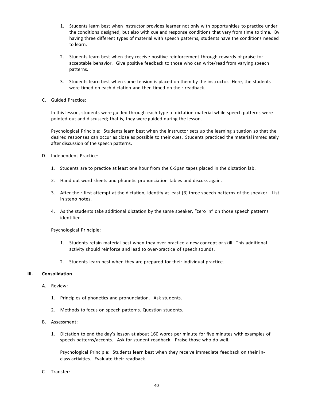- 1. Students learn best when instructor provides learner not only with opportunities to practice under the conditions designed, but also with cue and response conditions that vary from time to time. By having three different types of material with speech patterns, students have the conditions needed to learn.
- 2. Students learn best when they receive positive reinforcement through rewards of praise for acceptable behavior. Give positive feedback to those who can write/read from varying speech patterns.
- 3. Students learn best when some tension is placed on them by the instructor. Here, the students were timed on each dictation and then timed on their readback.
- C. Guided Practice:

In this lesson, students were guided through each type of dictation material while speech patterns were pointed out and discussed; that is, they were guided during the lesson.

Psychological Principle: Students learn best when the instructor sets up the learning situation so that the desired responses can occur as close as possible to their cues. Students practiced the material immediately after discussion of the speech patterns.

- D. Independent Practice:
	- 1. Students are to practice at least one hour from the C-Span tapes placed in the dictation lab.
	- 2. Hand out word sheets and phonetic pronunciation tables and discuss again.
	- 3. After their first attempt at the dictation, identify at least (3) three speech patterns of the speaker. List in steno notes.
	- 4. As the students take additional dictation by the same speaker, "zero in" on those speech patterns identified.

Psychological Principle:

- 1. Students retain material best when they over-practice a new concept or skill. This additional activity should reinforce and lead to over-practice of speech sounds.
- 2. Students learn best when they are prepared for their individual practice.

#### **III. Consolidation**

- A. Review:
	- 1. Principles of phonetics and pronunciation. Ask students.
	- 2. Methods to focus on speech patterns. Question students.
- B. Assessment:
	- 1. Dictation to end the day's lesson at about 160 words per minute for five minutes with examples of speech patterns/accents. Ask for student readback. Praise those who do well.

Psychological Principle: Students learn best when they receive immediate feedback on their inclass activities. Evaluate their readback.

C. Transfer: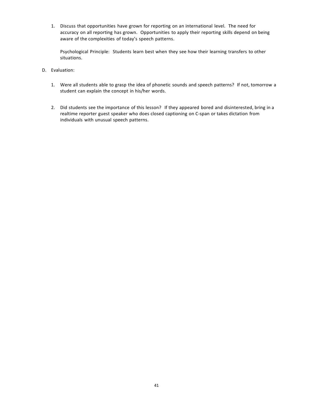1. Discuss that opportunities have grown for reporting on an international level. The need for accuracy on all reporting has grown. Opportunities to apply their reporting skills depend on being aware of the complexities of today's speech patterns.

Psychological Principle: Students learn best when they see how their learning transfers to other situations.

- D. Evaluation:
	- 1. Were all students able to grasp the idea of phonetic sounds and speech patterns? If not, tomorrow a student can explain the concept in his/her words.
	- 2. Did students see the importance of this lesson? If they appeared bored and disinterested, bring in a realtime reporter guest speaker who does closed captioning on C-span or takes dictation from individuals with unusual speech patterns.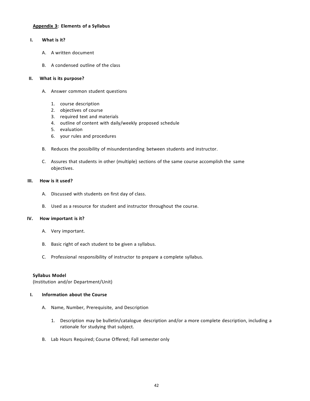## <span id="page-42-0"></span>**Appendix 3: Elements of a Syllabus**

## **I. What is it?**

- A. A written document
- B. A condensed outline of the class

## **II. What is its purpose?**

- A. Answer common student questions
	- 1. course description
	- 2. objectives of course
	- 3. required text and materials
	- 4. outline of content with daily/weekly proposed schedule
	- 5. evaluation
	- 6. your rules and procedures
- B. Reduces the possibility of misunderstanding between students and instructor.
- C. Assures that students in other (multiple) sections of the same course accomplish the same objectives.

## **III. How is it used?**

- A. Discussed with students on first day of class.
- B. Used as a resource for student and instructor throughout the course.

## **IV. How important is it?**

- A. Very important.
- B. Basic right of each student to be given a syllabus.
- C. Professional responsibility of instructor to prepare a complete syllabus.

#### **Syllabus Model**

(Institution and/or Department/Unit)

## **I. Information about the Course**

- A. Name, Number, Prerequisite, and Description
	- 1. Description may be bulletin/catalogue description and/or a more complete description, including a rationale for studying that subject.
- B. Lab Hours Required; Course Offered; Fall semester only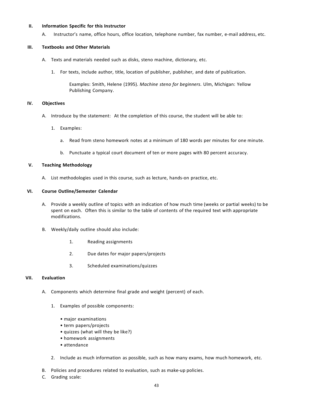#### **II. Information Specific for this Instructor**

A. Instructor's name, office hours, office location, telephone number, fax number, e-mail address, etc.

## **III. Textbooks and Other Materials**

- A. Texts and materials needed such as disks, steno machine, dictionary, etc.
	- 1. For texts, include author, title, location of publisher, publisher, and date of publication.

Examples: Smith, Helene (1995). *Machine steno for beginners*. Ulm, Michigan: Yellow Publishing Company.

## **IV. Objectives**

- A. Introduce by the statement: At the completion of this course, the student will be able to:
	- 1. Examples:
		- a. Read from steno homework notes at a minimum of 180 words per minutes for one minute.
		- b. Punctuate a typical court document of ten or more pages with 80 percent accuracy.

## **V. Teaching Methodology**

A. List methodologies used in this course, such as lecture, hands-on practice, etc.

## **VI. Course Outline/Semester Calendar**

- A. Provide a weekly outline of topics with an indication of how much time (weeks or partial weeks) to be spent on each. Often this is similar to the table of contents of the required text with appropriate modifications.
- B. Weekly/daily outline should also include:
	- 1. Reading assignments
	- 2. Due dates for major papers/projects
	- 3. Scheduled examinations/quizzes

## **VII. Evaluation**

- A. Components which determine final grade and weight (percent) of each.
	- 1. Examples of possible components:
		- major examinations
		- term papers/projects
		- quizzes (what will they be like?)
		- homework assignments
		- attendance
	- 2. Include as much information as possible, such as how many exams, how much homework, etc.
- B. Policies and procedures related to evaluation, such as make-up policies.
- C. Grading scale: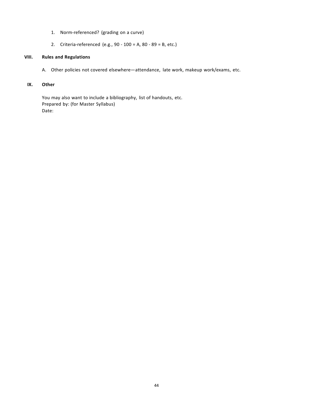- 1. Norm-referenced? (grading on a curve)
- 2. Criteria-referenced (e.g., 90 100 = A, 80 89 = B, etc.)

## **VIII. Rules and Regulations**

A. Other policies not covered elsewhere—attendance, late work, makeup work/exams, etc.

## **IX. Other**

You may also want to include a bibliography, list of handouts, etc. Prepared by: (for Master Syllabus) Date: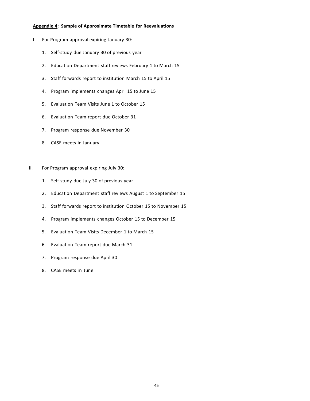#### <span id="page-45-0"></span>**Appendix 4: Sample of Approximate Timetable for Reevaluations**

- I. For Program approval expiring January 30:
	- 1. Self-study due January 30 of previous year
	- 2. Education Department staff reviews February 1 to March 15
	- 3. Staff forwards report to institution March 15 to April 15
	- 4. Program implements changes April 15 to June 15
	- 5. Evaluation Team Visits June 1 to October 15
	- 6. Evaluation Team report due October 31
	- 7. Program response due November 30
	- 8. CASE meets in January
- II. For Program approval expiring July 30:
	- 1. Self-study due July 30 of previous year
	- 2. Education Department staff reviews August 1 to September 15
	- 3. Staff forwards report to institution October 15 to November 15
	- 4. Program implements changes October 15 to December 15
	- 5. Evaluation Team Visits December 1 to March 15
	- 6. Evaluation Team report due March 31
	- 7. Program response due April 30
	- 8. CASE meets in June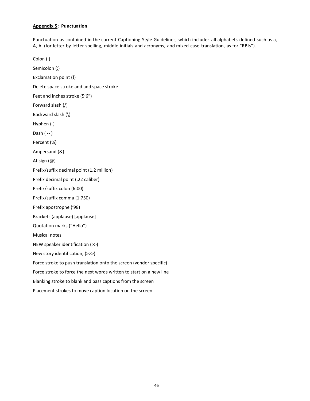## <span id="page-46-0"></span>**Appendix 5: Punctuation**

Punctuation as contained in the current Captioning Style Guidelines, which include: all alphabets defined such as a, A, A. (for letter-by-letter spelling, middle initials and acronyms, and mixed-case translation, as for "RBIs").

Colon (:) Semicolon (;) Exclamation point (!) Delete space stroke and add space stroke Feet and inches stroke (5'6") Forward slash (/) Backward slash (\) Hyphen (-) Dash ( -- ) Percent (%) Ampersand (&) At sign (@) Prefix/suffix decimal point (1.2 million) Prefix decimal point (.22 caliber) Prefix/suffix colon (6:00) Prefix/suffix comma (1,750) Prefix apostrophe ('98) Brackets (applause) [applause] Quotation marks ("Hello") Musical notes NEW speaker identification (>>) New story identification, (>>>) Force stroke to push translation onto the screen (vendor specific) Force stroke to force the next words written to start on a new line Blanking stroke to blank and pass captions from the screen Placement strokes to move caption location on the screen